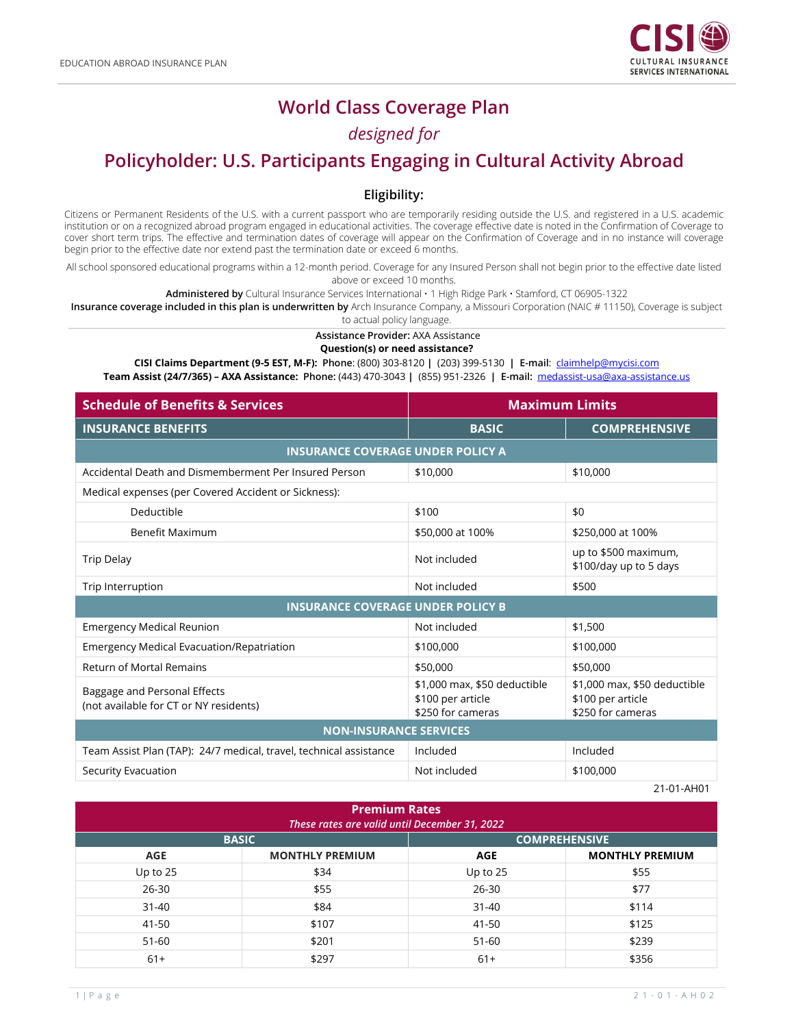

# **World Class Coverage Plan**

# *designed for*

# **Policyholder: U.S. Participants Engaging in Cultural Activity Abroad**

#### **Eligibility:**

Citizens or Permanent Residents of the U.S. with a current passport who are temporarily residing outside the U.S. and registered in a U.S. academic institution or on a recognized abroad program engaged in educational activities. The coverage effective date is noted in the Confirmation of Coverage to cover short term trips. The effective and termination dates of coverage will appear on the Confirmation of Coverage and in no instance will coverage begin prior to the effective date nor extend past the termination date or exceed 6 months.

All school sponsored educational programs within a 12-month period. Coverage for any Insured Person shall not begin prior to the effective date listed above or exceed 10 months.

**Administered by** Cultural Insurance Services International • 1 High Ridge Park • Stamford, CT 06905-1322

**Insurance coverage included in this plan is underwritten by** Arch Insurance Company, a Missouri Corporation (NAIC # 11150), Coverage is subject to actual policy language.

**Assistance Provider:** AXA Assistance **Question(s) or need assistance?**

**CISI Claims Department (9-5 EST, M-F): Phone**: (800) 303-8120 **|** (203) 399-5130 **| E-mail**: [claimhelp@mycisi.com](mailto:claimhelp@mycisi.com) **Team Assist (24/7/365) – AXA Assistance: Phone:** (443) 470-3043 **|** (855) 951-2326 **| E-mail:** [medassist-usa@axa-assistance.us](mailto:medassist-usa@axa-assistance.us)

**Schedule of Benefits & Services Maximum Limits INSURANCE BENEFITS BASIC COMPREHENSIVE INSURANCE COVERAGE UNDER POLICY A** [Accidental Death and Dismemberment Per Insured Person](#page-1-0) \$10,000 \$10,000 \$10,000 [Medical expenses \(per Covered Accident or Sickness\):](#page-2-0)  $\blacksquare$  Deductible  $\blacksquare$  \$100  $\blacksquare$  Benefit Maximum \$50,000 at 100% \$250,000 at 100% [Trip Delay](#page-3-0) **Notify and the UP of State UP of the UP of State UP of State UP of State UP of State UP of State UP of Trip Delay (1990) Motify and the UP of the UP of the UP of the UP of the UP of the UP of the UP of the UP o** \$100/day up to 5 days [Trip Interruption](#page-5-0) **According to the Contract of Contract According to the Contract According to the Contract According to the SSOO INSURANCE COVERAGE UNDER POLICY B** [Emergency Medical Reunion](#page-2-1) Notel Communication Not included the state  $\sim$  \$1,500 [Emergency Medical Evacuation/Repatriation](#page-5-0)  $\vert$ \$100,000 \$100,000 \$100,000 [Return of Mortal Remains](#page-5-0) **1990 12:30 12:30 12:30 12:30 12:30 12:30 13:30 13:30 14:30,000 \$50,000** [Baggage and Personal Effects](#page-5-0) (not available for CT or NY residents) \$1,000 max, \$50 deductible \$100 per article \$250 for cameras \$1,000 max, \$50 deductible \$100 per article \$250 for cameras **NON-INSURANCE SERVICES** [Team Assist Plan \(TAP\): 24/7 medical, travel, technical assistance](#page-8-0) Included Included [Security Evacuation](#page-8-0) **Example 2018** Security Evacuation **Notification** Not included **\$100,000** 

21-01-AH01

| <b>Premium Rates</b><br>These rates are valid until December 31, 2022 |                        |                      |                        |  |
|-----------------------------------------------------------------------|------------------------|----------------------|------------------------|--|
| <b>BASIC</b>                                                          |                        | <b>COMPREHENSIVE</b> |                        |  |
| <b>AGE</b>                                                            | <b>MONTHLY PREMIUM</b> | <b>AGE</b>           | <b>MONTHLY PREMIUM</b> |  |
| Up to 25                                                              | \$34                   | Up to $25$           | \$55                   |  |
| $26 - 30$                                                             | \$55                   | $26 - 30$            | \$77                   |  |
| $31 - 40$                                                             | \$84                   | $31 - 40$            | \$114                  |  |
| 41-50                                                                 | \$107                  | 41-50                | \$125                  |  |
| $51 - 60$                                                             | \$201                  | $51-60$              | \$239                  |  |
| $61+$                                                                 | \$297                  | $61+$                | \$356                  |  |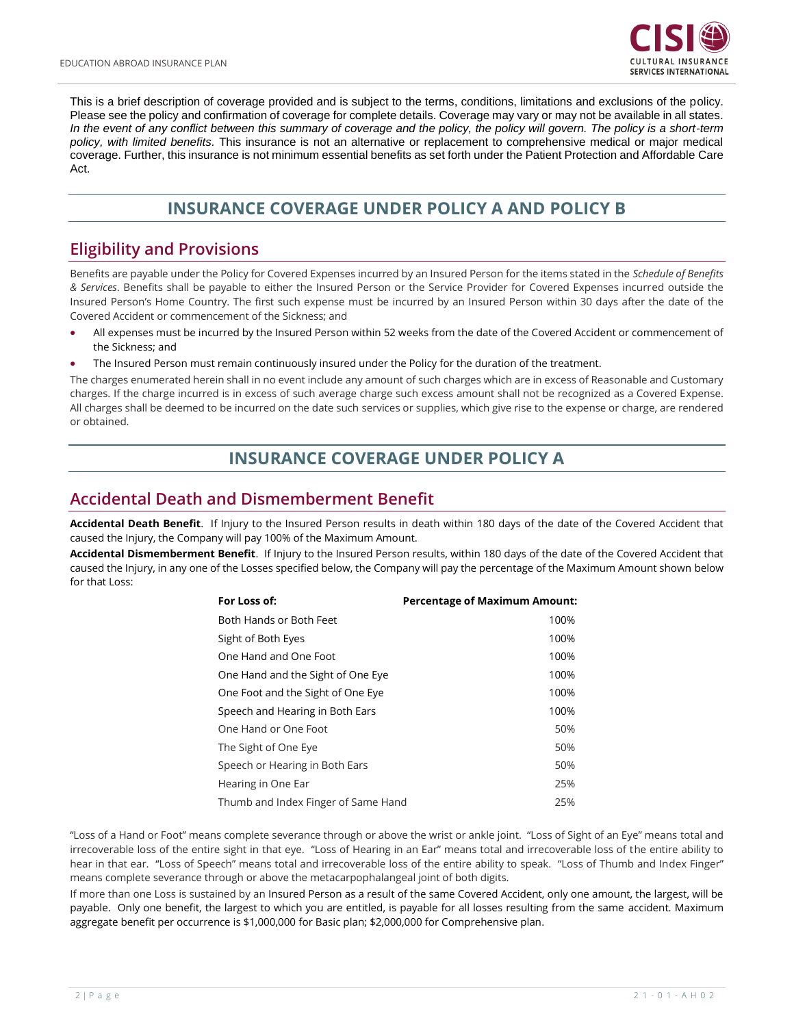

This is a brief description of coverage provided and is subject to the terms, conditions, limitations and exclusions of the policy. Please see the policy and confirmation of coverage for complete details. Coverage may vary or may not be available in all states. *In the event of any conflict between this summary of coverage and the policy, the policy will govern. The policy is a short-term policy, with limited benefits.* This insurance is not an alternative or replacement to comprehensive medical or major medical coverage. Further, this insurance is not minimum essential benefits as set forth under the Patient Protection and Affordable Care Act.

# **INSURANCE COVERAGE UNDER POLICY A AND POLICY B**

### **Eligibility and Provisions**

<span id="page-1-0"></span>Benefits are payable under the Policy for Covered Expenses incurred by an Insured Person for the items stated in the *Schedule of Benefits & Services*. Benefits shall be payable to either the Insured Person or the Service Provider for Covered Expenses incurred outside the Insured Person's Home Country. The first such expense must be incurred by an Insured Person within 30 days after the date of the Covered Accident or commencement of the Sickness; and

- All expenses must be incurred by the Insured Person within 52 weeks from the date of the Covered Accident or commencement of the Sickness; and
- The Insured Person must remain continuously insured under the Policy for the duration of the treatment.

The charges enumerated herein shall in no event include any amount of such charges which are in excess of Reasonable and Customary charges. If the charge incurred is in excess of such average charge such excess amount shall not be recognized as a Covered Expense. All charges shall be deemed to be incurred on the date such services or supplies, which give rise to the expense or charge, are rendered or obtained.

### **INSURANCE COVERAGE UNDER POLICY A**

#### **Accidental Death and Dismemberment Benefit**

**Accidental Death Benefit**. If Injury to the Insured Person results in death within 180 days of the date of the Covered Accident that caused the Injury, the Company will pay 100% of the Maximum Amount.

**Accidental Dismemberment Benefit**. If Injury to the Insured Person results, within 180 days of the date of the Covered Accident that caused the Injury, in any one of the Losses specified below, the Company will pay the percentage of the Maximum Amount shown below for that Loss:

| For Loss of:                        | <b>Percentage of Maximum Amount:</b> |
|-------------------------------------|--------------------------------------|
| Both Hands or Both Feet             | 100%                                 |
| Sight of Both Eyes                  | 100%                                 |
| One Hand and One Foot               | 100%                                 |
| One Hand and the Sight of One Eye   | 100%                                 |
| One Foot and the Sight of One Eye   | 100%                                 |
| Speech and Hearing in Both Ears     | 100%                                 |
| One Hand or One Foot                | 50%                                  |
| The Sight of One Eye                | 50%                                  |
| Speech or Hearing in Both Ears      | 50%                                  |
| Hearing in One Ear                  | 25%                                  |
| Thumb and Index Finger of Same Hand | 25%                                  |

"Loss of a Hand or Foot" means complete severance through or above the wrist or ankle joint. "Loss of Sight of an Eye" means total and irrecoverable loss of the entire sight in that eye. "Loss of Hearing in an Ear" means total and irrecoverable loss of the entire ability to hear in that ear. "Loss of Speech" means total and irrecoverable loss of the entire ability to speak. "Loss of Thumb and Index Finger" means complete severance through or above the metacarpophalangeal joint of both digits.

If more than one Loss is sustained by an Insured Person as a result of the same Covered Accident, only one amount, the largest, will be payable. Only one benefit, the largest to which you are entitled, is payable for all losses resulting from the same accident. Maximum aggregate benefit per occurrence is \$1,000,000 for Basic plan; \$2,000,000 for Comprehensive plan.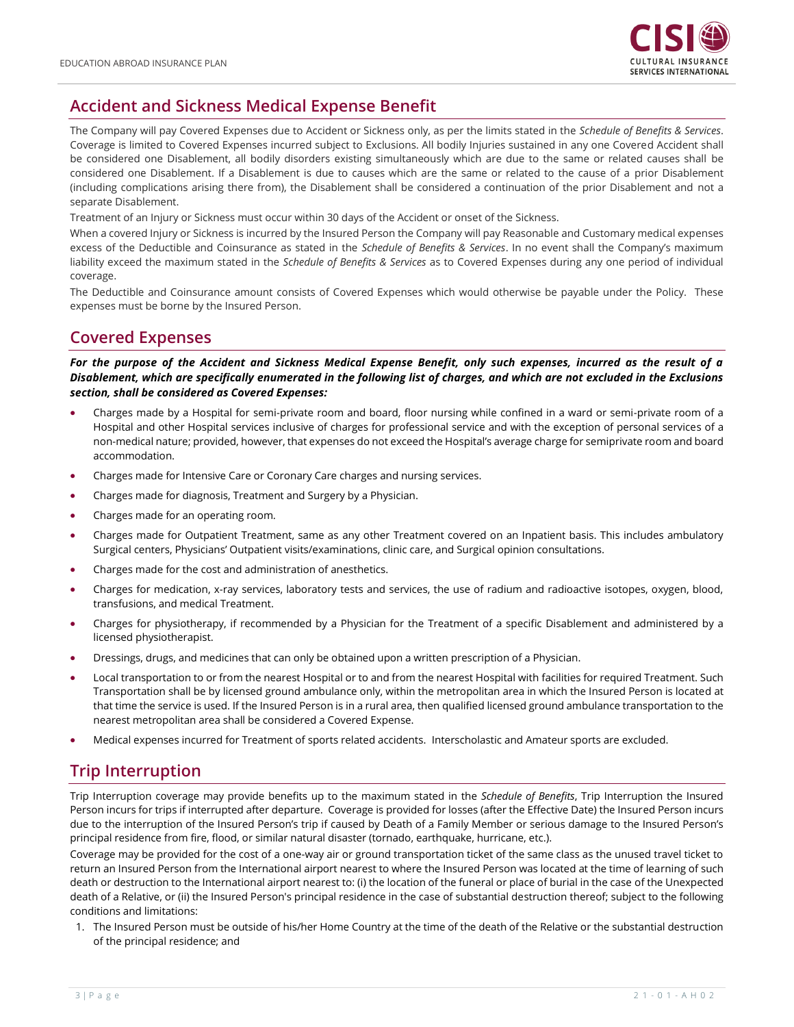

# <span id="page-2-0"></span>**Accident and Sickness Medical Expense Benefit**

The Company will pay Covered Expenses due to Accident or Sickness only, as per the limits stated in the *Schedule of Benefits & Services*. Coverage is limited to Covered Expenses incurred subject to Exclusions. All bodily Injuries sustained in any one Covered Accident shall be considered one Disablement, all bodily disorders existing simultaneously which are due to the same or related causes shall be considered one Disablement. If a Disablement is due to causes which are the same or related to the cause of a prior Disablement (including complications arising there from), the Disablement shall be considered a continuation of the prior Disablement and not a separate Disablement.

Treatment of an Injury or Sickness must occur within 30 days of the Accident or onset of the Sickness.

When a covered Injury or Sickness is incurred by the Insured Person the Company will pay Reasonable and Customary medical expenses excess of the Deductible and Coinsurance as stated in the *Schedule of Benefits & Services*. In no event shall the Company's maximum liability exceed the maximum stated in the *Schedule of Benefits & Services* as to Covered Expenses during any one period of individual coverage.

The Deductible and Coinsurance amount consists of Covered Expenses which would otherwise be payable under the Policy. These expenses must be borne by the Insured Person.

#### **Covered Expenses**

*For the purpose of the Accident and Sickness Medical Expense Benefit, only such expenses, incurred as the result of a Disablement, which are specifically enumerated in the following list of charges, and which are not excluded in the Exclusions section, shall be considered as Covered Expenses:*

- Charges made by a Hospital for semi-private room and board, floor nursing while confined in a ward or semi-private room of a Hospital and other Hospital services inclusive of charges for professional service and with the exception of personal services of a non-medical nature; provided, however, that expenses do not exceed the Hospital's average charge for semiprivate room and board accommodation.
- Charges made for Intensive Care or Coronary Care charges and nursing services.
- Charges made for diagnosis, Treatment and Surgery by a Physician.
- Charges made for an operating room.
- Charges made for Outpatient Treatment, same as any other Treatment covered on an Inpatient basis. This includes ambulatory Surgical centers, Physicians' Outpatient visits/examinations, clinic care, and Surgical opinion consultations.
- Charges made for the cost and administration of anesthetics.
- Charges for medication, x-ray services, laboratory tests and services, the use of radium and radioactive isotopes, oxygen, blood, transfusions, and medical Treatment.
- Charges for physiotherapy, if recommended by a Physician for the Treatment of a specific Disablement and administered by a licensed physiotherapist.
- Dressings, drugs, and medicines that can only be obtained upon a written prescription of a Physician.
- Local transportation to or from the nearest Hospital or to and from the nearest Hospital with facilities for required Treatment. Such Transportation shall be by licensed ground ambulance only, within the metropolitan area in which the Insured Person is located at that time the service is used. If the Insured Person is in a rural area, then qualified licensed ground ambulance transportation to the nearest metropolitan area shall be considered a Covered Expense.
- Medical expenses incurred for Treatment of sports related accidents. Interscholastic and Amateur sports are excluded.

#### <span id="page-2-1"></span>**Trip Interruption**

Trip Interruption coverage may provide benefits up to the maximum stated in the *Schedule of Benefits*, Trip Interruption the Insured Person incurs for trips if interrupted after departure. Coverage is provided for losses (after the Effective Date) the Insured Person incurs due to the interruption of the Insured Person's trip if caused by Death of a Family Member or serious damage to the Insured Person's principal residence from fire, flood, or similar natural disaster (tornado, earthquake, hurricane, etc.).

Coverage may be provided for the cost of a one-way air or ground transportation ticket of the same class as the unused travel ticket to return an Insured Person from the International airport nearest to where the Insured Person was located at the time of learning of such death or destruction to the International airport nearest to: (i) the location of the funeral or place of burial in the case of the Unexpected death of a Relative, or (ii) the Insured Person's principal residence in the case of substantial destruction thereof; subject to the following conditions and limitations:

1. The Insured Person must be outside of his/her Home Country at the time of the death of the Relative or the substantial destruction of the principal residence; and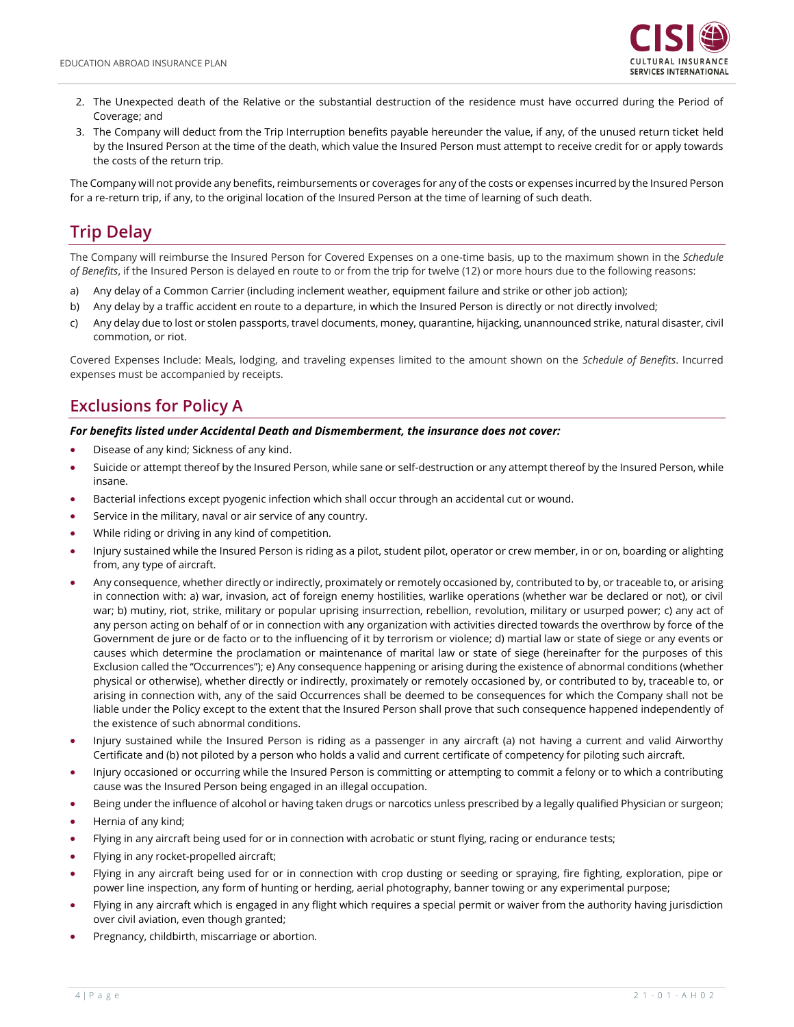

- 2. The Unexpected death of the Relative or the substantial destruction of the residence must have occurred during the Period of Coverage; and
- 3. The Company will deduct from the Trip Interruption benefits payable hereunder the value, if any, of the unused return ticket held by the Insured Person at the time of the death, which value the Insured Person must attempt to receive credit for or apply towards the costs of the return trip.

The Company will not provide any benefits, reimbursements or coverages for any of the costs or expenses incurred by the Insured Person for a re-return trip, if any, to the original location of the Insured Person at the time of learning of such death.

# <span id="page-3-0"></span>**Trip Delay**

The Company will reimburse the Insured Person for Covered Expenses on a one-time basis, up to the maximum shown in the *Schedule of Benefits*, if the Insured Person is delayed en route to or from the trip for twelve (12) or more hours due to the following reasons:

- a) Any delay of a Common Carrier (including inclement weather, equipment failure and strike or other job action);
- b) Any delay by a traffic accident en route to a departure, in which the Insured Person is directly or not directly involved;
- c) Any delay due to lost or stolen passports, travel documents, money, quarantine, hijacking, unannounced strike, natural disaster, civil commotion, or riot.

Covered Expenses Include: Meals, lodging, and traveling expenses limited to the amount shown on the *Schedule of Benefits*. Incurred expenses must be accompanied by receipts.

## **Exclusions for Policy A**

#### *For benefits listed under Accidental Death and Dismemberment, the insurance does not cover:*

- Disease of any kind; Sickness of any kind.
- Suicide or attempt thereof by the Insured Person, while sane or self-destruction or any attempt thereof by the Insured Person, while insane.
- Bacterial infections except pyogenic infection which shall occur through an accidental cut or wound.
- Service in the military, naval or air service of any country.
- While riding or driving in any kind of competition.
- Injury sustained while the Insured Person is riding as a pilot, student pilot, operator or crew member, in or on, boarding or alighting from, any type of aircraft.
- Any consequence, whether directly or indirectly, proximately or remotely occasioned by, contributed to by, or traceable to, or arising in connection with: a) war, invasion, act of foreign enemy hostilities, warlike operations (whether war be declared or not), or civil war; b) mutiny, riot, strike, military or popular uprising insurrection, rebellion, revolution, military or usurped power; c) any act of any person acting on behalf of or in connection with any organization with activities directed towards the overthrow by force of the Government de jure or de facto or to the influencing of it by terrorism or violence; d) martial law or state of siege or any events or causes which determine the proclamation or maintenance of marital law or state of siege (hereinafter for the purposes of this Exclusion called the "Occurrences"); e) Any consequence happening or arising during the existence of abnormal conditions (whether physical or otherwise), whether directly or indirectly, proximately or remotely occasioned by, or contributed to by, traceable to, or arising in connection with, any of the said Occurrences shall be deemed to be consequences for which the Company shall not be liable under the Policy except to the extent that the Insured Person shall prove that such consequence happened independently of the existence of such abnormal conditions.
- Injury sustained while the Insured Person is riding as a passenger in any aircraft (a) not having a current and valid Airworthy Certificate and (b) not piloted by a person who holds a valid and current certificate of competency for piloting such aircraft.
- Injury occasioned or occurring while the Insured Person is committing or attempting to commit a felony or to which a contributing cause was the Insured Person being engaged in an illegal occupation.
- Being under the influence of alcohol or having taken drugs or narcotics unless prescribed by a legally qualified Physician or surgeon;
- Hernia of any kind;
- Flying in any aircraft being used for or in connection with acrobatic or stunt flying, racing or endurance tests;
- Flying in any rocket-propelled aircraft;
- Flying in any aircraft being used for or in connection with crop dusting or seeding or spraying, fire fighting, exploration, pipe or power line inspection, any form of hunting or herding, aerial photography, banner towing or any experimental purpose;
- Flying in any aircraft which is engaged in any flight which requires a special permit or waiver from the authority having jurisdiction over civil aviation, even though granted;
- Pregnancy, childbirth, miscarriage or abortion.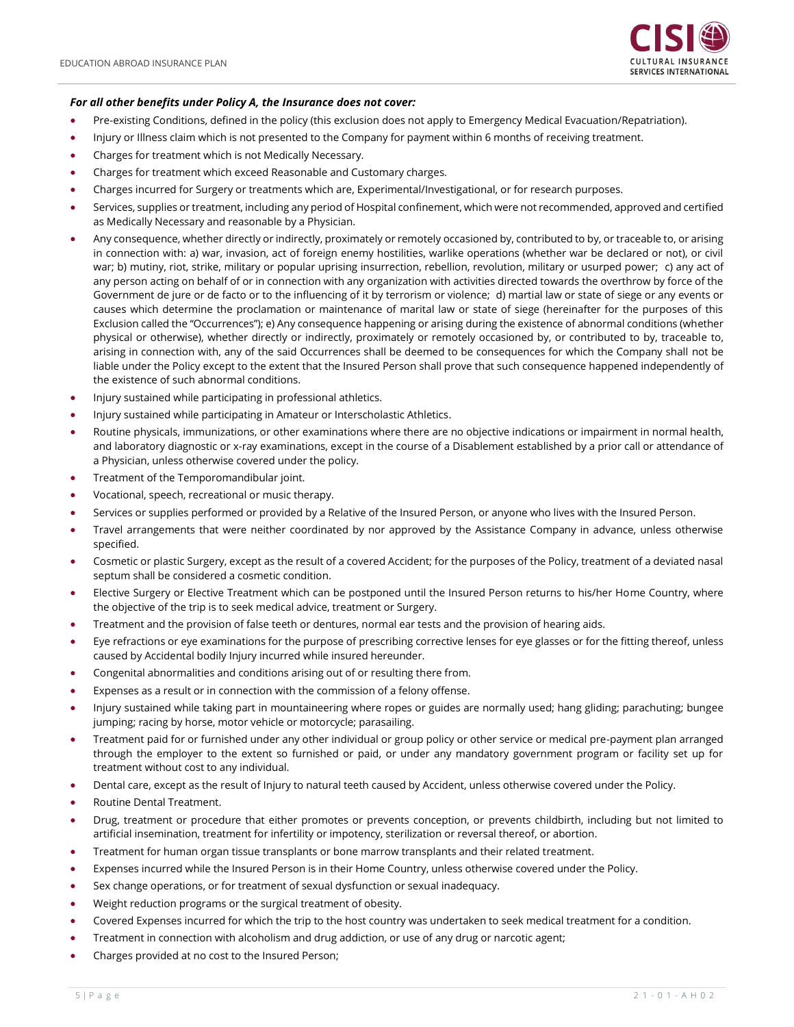

#### *For all other benefits under Policy A, the Insurance does not cover:*

- Pre-existing Conditions, defined in the policy (this exclusion does not apply to Emergency Medical Evacuation/Repatriation).
- Injury or Illness claim which is not presented to the Company for payment within 6 months of receiving treatment.
- Charges for treatment which is not Medically Necessary.
- Charges for treatment which exceed Reasonable and Customary charges.
- Charges incurred for Surgery or treatments which are, Experimental/Investigational, or for research purposes.
- Services, supplies or treatment, including any period of Hospital confinement, which were not recommended, approved and certified as Medically Necessary and reasonable by a Physician.
- Any consequence, whether directly or indirectly, proximately or remotely occasioned by, contributed to by, or traceable to, or arising in connection with: a) war, invasion, act of foreign enemy hostilities, warlike operations (whether war be declared or not), or civil war; b) mutiny, riot, strike, military or popular uprising insurrection, rebellion, revolution, military or usurped power; c) any act of any person acting on behalf of or in connection with any organization with activities directed towards the overthrow by force of the Government de jure or de facto or to the influencing of it by terrorism or violence; d) martial law or state of siege or any events or causes which determine the proclamation or maintenance of marital law or state of siege (hereinafter for the purposes of this Exclusion called the "Occurrences"); e) Any consequence happening or arising during the existence of abnormal conditions (whether physical or otherwise), whether directly or indirectly, proximately or remotely occasioned by, or contributed to by, traceable to, arising in connection with, any of the said Occurrences shall be deemed to be consequences for which the Company shall not be liable under the Policy except to the extent that the Insured Person shall prove that such consequence happened independently of the existence of such abnormal conditions.
- Injury sustained while participating in professional athletics.
- Injury sustained while participating in Amateur or Interscholastic Athletics.
- Routine physicals, immunizations, or other examinations where there are no objective indications or impairment in normal health, and laboratory diagnostic or x-ray examinations, except in the course of a Disablement established by a prior call or attendance of a Physician, unless otherwise covered under the policy.
- Treatment of the Temporomandibular joint.
- Vocational, speech, recreational or music therapy.
- Services or supplies performed or provided by a Relative of the Insured Person, or anyone who lives with the Insured Person.
- Travel arrangements that were neither coordinated by nor approved by the Assistance Company in advance, unless otherwise specified.
- Cosmetic or plastic Surgery, except as the result of a covered Accident; for the purposes of the Policy, treatment of a deviated nasal septum shall be considered a cosmetic condition.
- Elective Surgery or Elective Treatment which can be postponed until the Insured Person returns to his/her Home Country, where the objective of the trip is to seek medical advice, treatment or Surgery.
- Treatment and the provision of false teeth or dentures, normal ear tests and the provision of hearing aids.
- Eye refractions or eye examinations for the purpose of prescribing corrective lenses for eye glasses or for the fitting thereof, unless caused by Accidental bodily Injury incurred while insured hereunder.
- Congenital abnormalities and conditions arising out of or resulting there from.
- Expenses as a result or in connection with the commission of a felony offense.
- Injury sustained while taking part in mountaineering where ropes or guides are normally used; hang gliding; parachuting; bungee jumping; racing by horse, motor vehicle or motorcycle; parasailing.
- Treatment paid for or furnished under any other individual or group policy or other service or medical pre-payment plan arranged through the employer to the extent so furnished or paid, or under any mandatory government program or facility set up for treatment without cost to any individual.
- Dental care, except as the result of Injury to natural teeth caused by Accident, unless otherwise covered under the Policy.
- Routine Dental Treatment.
- Drug, treatment or procedure that either promotes or prevents conception, or prevents childbirth, including but not limited to artificial insemination, treatment for infertility or impotency, sterilization or reversal thereof, or abortion.
- Treatment for human organ tissue transplants or bone marrow transplants and their related treatment.
- Expenses incurred while the Insured Person is in their Home Country, unless otherwise covered under the Policy.
- Sex change operations, or for treatment of sexual dysfunction or sexual inadequacy.
- Weight reduction programs or the surgical treatment of obesity.
- Covered Expenses incurred for which the trip to the host country was undertaken to seek medical treatment for a condition.
- Treatment in connection with alcoholism and drug addiction, or use of any drug or narcotic agent;
- Charges provided at no cost to the Insured Person;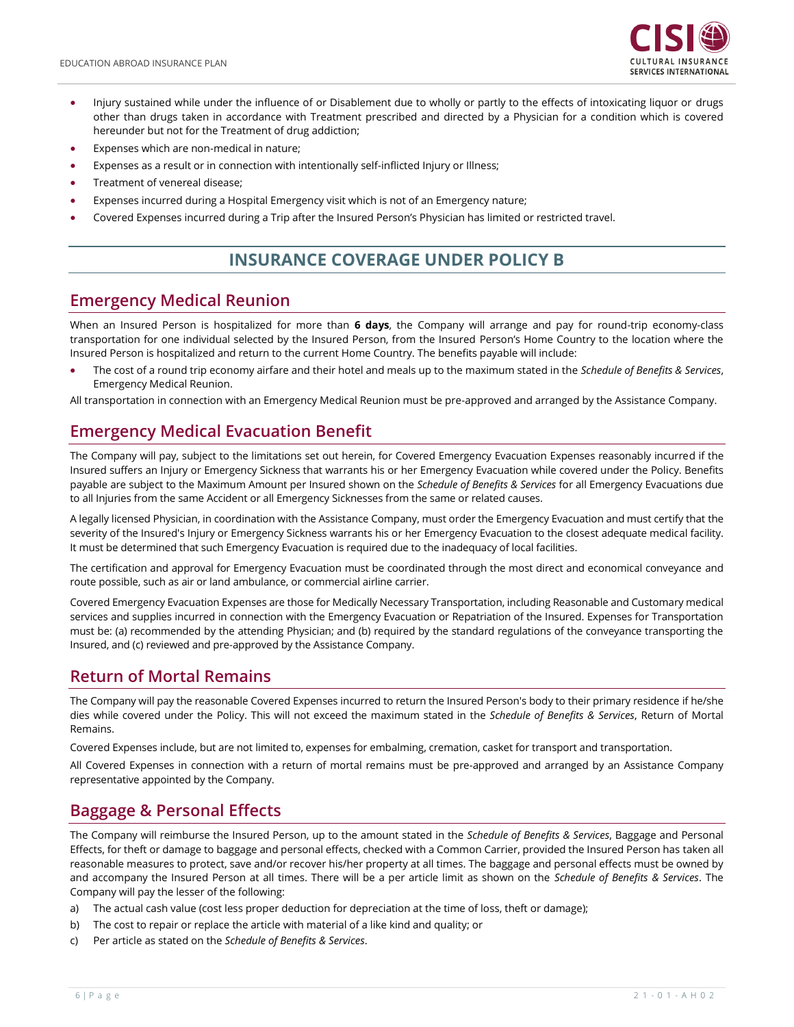

- Injury sustained while under the influence of or Disablement due to wholly or partly to the effects of intoxicating liquor or drugs other than drugs taken in accordance with Treatment prescribed and directed by a Physician for a condition which is covered hereunder but not for the Treatment of drug addiction;
- Expenses which are non-medical in nature:
- Expenses as a result or in connection with intentionally self-inflicted Injury or Illness;
- Treatment of venereal disease;
- Expenses incurred during a Hospital Emergency visit which is not of an Emergency nature;
- Covered Expenses incurred during a Trip after the Insured Person's Physician has limited or restricted travel.

# **INSURANCE COVERAGE UNDER POLICY B**

#### **Emergency Medical Reunion**

When an Insured Person is hospitalized for more than **6 days**, the Company will arrange and pay for round-trip economy-class transportation for one individual selected by the Insured Person, from the Insured Person's Home Country to the location where the Insured Person is hospitalized and return to the current Home Country. The benefits payable will include:

• The cost of a round trip economy airfare and their hotel and meals up to the maximum stated in the *Schedule of Benefits & Services*, Emergency Medical Reunion.

All transportation in connection with an Emergency Medical Reunion must be pre-approved and arranged by the Assistance Company.

### <span id="page-5-0"></span>**Emergency Medical Evacuation Benefit**

The Company will pay, subject to the limitations set out herein, for Covered Emergency Evacuation Expenses reasonably incurred if the Insured suffers an Injury or Emergency Sickness that warrants his or her Emergency Evacuation while covered under the Policy. Benefits payable are subject to the Maximum Amount per Insured shown on the *Schedule of Benefits & Services* for all Emergency Evacuations due to all Injuries from the same Accident or all Emergency Sicknesses from the same or related causes.

A legally licensed Physician, in coordination with the Assistance Company, must order the Emergency Evacuation and must certify that the severity of the Insured's Injury or Emergency Sickness warrants his or her Emergency Evacuation to the closest adequate medical facility. It must be determined that such Emergency Evacuation is required due to the inadequacy of local facilities.

The certification and approval for Emergency Evacuation must be coordinated through the most direct and economical conveyance and route possible, such as air or land ambulance, or commercial airline carrier.

Covered Emergency Evacuation Expenses are those for Medically Necessary Transportation, including Reasonable and Customary medical services and supplies incurred in connection with the Emergency Evacuation or Repatriation of the Insured. Expenses for Transportation must be: (a) recommended by the attending Physician; and (b) required by the standard regulations of the conveyance transporting the Insured, and (c) reviewed and pre-approved by the Assistance Company.

### **Return of Mortal Remains**

The Company will pay the reasonable Covered Expenses incurred to return the Insured Person's body to their primary residence if he/she dies while covered under the Policy. This will not exceed the maximum stated in the *Schedule of Benefits & Services*, Return of Mortal Remains.

Covered Expenses include, but are not limited to, expenses for embalming, cremation, casket for transport and transportation.

All Covered Expenses in connection with a return of mortal remains must be pre-approved and arranged by an Assistance Company representative appointed by the Company.

### **Baggage & Personal Effects**

The Company will reimburse the Insured Person, up to the amount stated in the *Schedule of Benefits & Services*, Baggage and Personal Effects, for theft or damage to baggage and personal effects, checked with a Common Carrier, provided the Insured Person has taken all reasonable measures to protect, save and/or recover his/her property at all times. The baggage and personal effects must be owned by and accompany the Insured Person at all times. There will be a per article limit as shown on the *Schedule of Benefits & Services*. The Company will pay the lesser of the following:

- a) The actual cash value (cost less proper deduction for depreciation at the time of loss, theft or damage);
- b) The cost to repair or replace the article with material of a like kind and quality; or
- c) Per article as stated on the *Schedule of Benefits & Services*.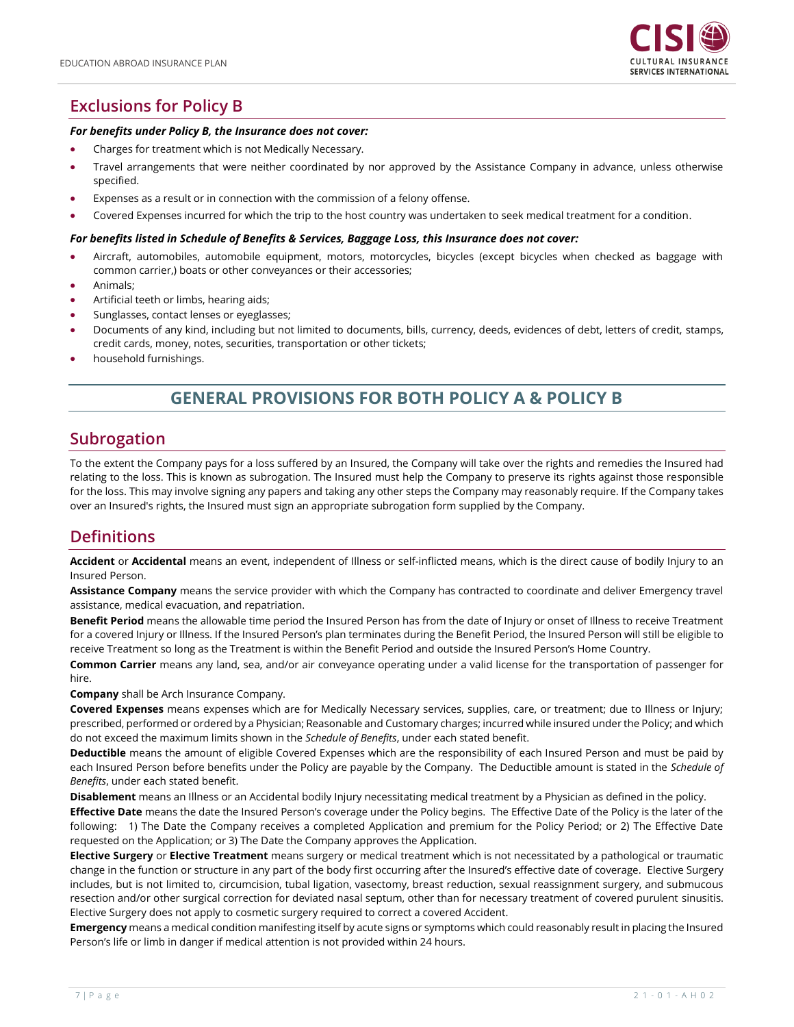

# **Exclusions for Policy B**

#### *For benefits under Policy B, the Insurance does not cover:*

- Charges for treatment which is not Medically Necessary.
- Travel arrangements that were neither coordinated by nor approved by the Assistance Company in advance, unless otherwise specified.
- Expenses as a result or in connection with the commission of a felony offense.
- Covered Expenses incurred for which the trip to the host country was undertaken to seek medical treatment for a condition.

#### *For benefits listed in Schedule of Benefits & Services, Baggage Loss, this Insurance does not cover:*

- Aircraft, automobiles, automobile equipment, motors, motorcycles, bicycles (except bicycles when checked as baggage with common carrier,) boats or other conveyances or their accessories;
- Animals;
- Artificial teeth or limbs, hearing aids;
- Sunglasses, contact lenses or eyeglasses;
- Documents of any kind, including but not limited to documents, bills, currency, deeds, evidences of debt, letters of credit, stamps, credit cards, money, notes, securities, transportation or other tickets;
- household furnishings.

### **GENERAL PROVISIONS FOR BOTH POLICY A & POLICY B**

#### **Subrogation**

To the extent the Company pays for a loss suffered by an Insured, the Company will take over the rights and remedies the Insured had relating to the loss. This is known as subrogation. The Insured must help the Company to preserve its rights against those responsible for the loss. This may involve signing any papers and taking any other steps the Company may reasonably require. If the Company takes over an Insured's rights, the Insured must sign an appropriate subrogation form supplied by the Company.

### **Definitions**

**Accident** or **Accidental** means an event, independent of Illness or self-inflicted means, which is the direct cause of bodily Injury to an Insured Person.

**Assistance Company** means the service provider with which the Company has contracted to coordinate and deliver Emergency travel assistance, medical evacuation, and repatriation.

**Benefit Period** means the allowable time period the Insured Person has from the date of Injury or onset of Illness to receive Treatment for a covered Injury or Illness. If the Insured Person's plan terminates during the Benefit Period, the Insured Person will still be eligible to receive Treatment so long as the Treatment is within the Benefit Period and outside the Insured Person's Home Country.

**Common Carrier** means any land, sea, and/or air conveyance operating under a valid license for the transportation of passenger for hire.

**Company** shall be Arch Insurance Company.

**Covered Expenses** means expenses which are for Medically Necessary services, supplies, care, or treatment; due to Illness or Injury; prescribed, performed or ordered by a Physician; Reasonable and Customary charges; incurred while insured under the Policy; and which do not exceed the maximum limits shown in the *Schedule of Benefits*, under each stated benefit.

**Deductible** means the amount of eligible Covered Expenses which are the responsibility of each Insured Person and must be paid by each Insured Person before benefits under the Policy are payable by the Company. The Deductible amount is stated in the *Schedule of Benefits*, under each stated benefit.

**Disablement** means an Illness or an Accidental bodily Injury necessitating medical treatment by a Physician as defined in the policy.

**Effective Date** means the date the Insured Person's coverage under the Policy begins. The Effective Date of the Policy is the later of the following: 1) The Date the Company receives a completed Application and premium for the Policy Period; or 2) The Effective Date requested on the Application; or 3) The Date the Company approves the Application.

**Elective Surgery** or **Elective Treatment** means surgery or medical treatment which is not necessitated by a pathological or traumatic change in the function or structure in any part of the body first occurring after the Insured's effective date of coverage. Elective Surgery includes, but is not limited to, circumcision, tubal ligation, vasectomy, breast reduction, sexual reassignment surgery, and submucous resection and/or other surgical correction for deviated nasal septum, other than for necessary treatment of covered purulent sinusitis. Elective Surgery does not apply to cosmetic surgery required to correct a covered Accident.

**Emergency** means a medical condition manifesting itself by acute signs or symptoms which could reasonably result in placing the Insured Person's life or limb in danger if medical attention is not provided within 24 hours.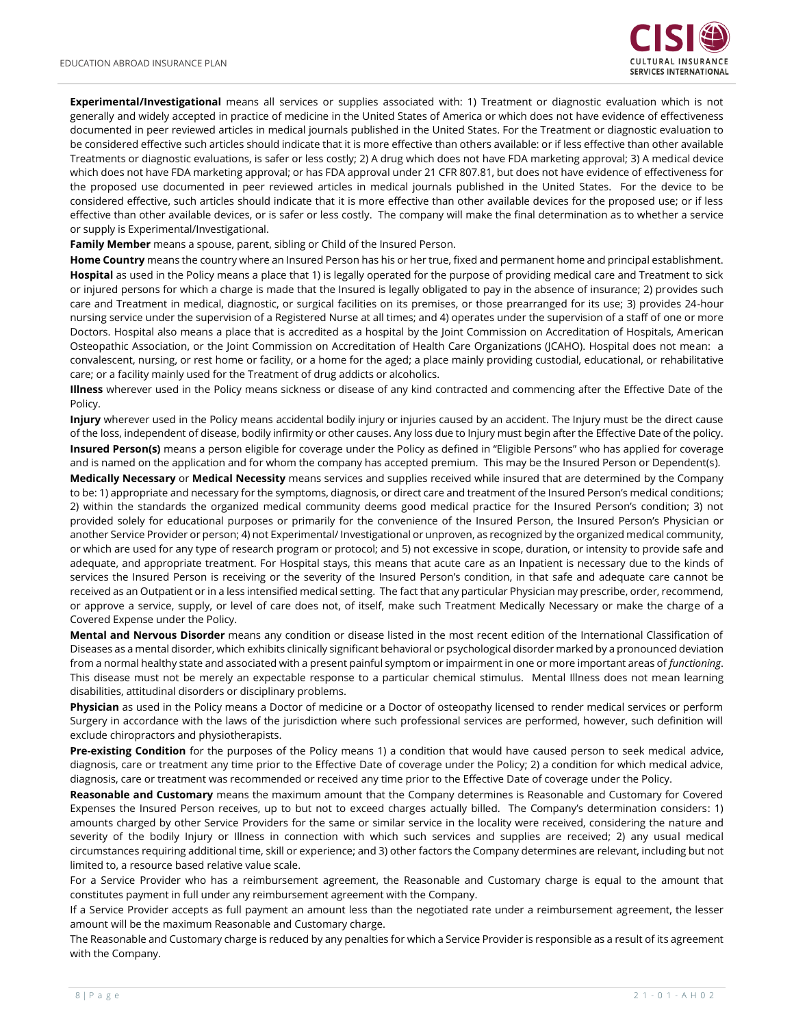

**Experimental/Investigational** means all services or supplies associated with: 1) Treatment or diagnostic evaluation which is not generally and widely accepted in practice of medicine in the United States of America or which does not have evidence of effectiveness documented in peer reviewed articles in medical journals published in the United States. For the Treatment or diagnostic evaluation to be considered effective such articles should indicate that it is more effective than others available: or if less effective than other available Treatments or diagnostic evaluations, is safer or less costly; 2) A drug which does not have FDA marketing approval; 3) A medical device which does not have FDA marketing approval; or has FDA approval under 21 CFR 807.81, but does not have evidence of effectiveness for the proposed use documented in peer reviewed articles in medical journals published in the United States. For the device to be considered effective, such articles should indicate that it is more effective than other available devices for the proposed use; or if less effective than other available devices, or is safer or less costly. The company will make the final determination as to whether a service or supply is Experimental/Investigational.

**Family Member** means a spouse, parent, sibling or Child of the Insured Person.

**Home Country** means the country where an Insured Person has his or her true, fixed and permanent home and principal establishment. **Hospital** as used in the Policy means a place that 1) is legally operated for the purpose of providing medical care and Treatment to sick or injured persons for which a charge is made that the Insured is legally obligated to pay in the absence of insurance; 2) provides such care and Treatment in medical, diagnostic, or surgical facilities on its premises, or those prearranged for its use; 3) provides 24-hour nursing service under the supervision of a Registered Nurse at all times; and 4) operates under the supervision of a staff of one or more Doctors. Hospital also means a place that is accredited as a hospital by the Joint Commission on Accreditation of Hospitals, American Osteopathic Association, or the Joint Commission on Accreditation of Health Care Organizations (JCAHO). Hospital does not mean: a convalescent, nursing, or rest home or facility, or a home for the aged; a place mainly providing custodial, educational, or rehabilitative care; or a facility mainly used for the Treatment of drug addicts or alcoholics.

**Illness** wherever used in the Policy means sickness or disease of any kind contracted and commencing after the Effective Date of the Policy.

**Injury** wherever used in the Policy means accidental bodily injury or injuries caused by an accident. The Injury must be the direct cause of the loss, independent of disease, bodily infirmity or other causes. Any loss due to Injury must begin after the Effective Date of the policy. **Insured Person(s)** means a person eligible for coverage under the Policy as defined in "Eligible Persons" who has applied for coverage and is named on the application and for whom the company has accepted premium. This may be the Insured Person or Dependent(s).

**Medically Necessary** or **Medical Necessity** means services and supplies received while insured that are determined by the Company to be: 1) appropriate and necessary for the symptoms, diagnosis, or direct care and treatment of the Insured Person's medical conditions; 2) within the standards the organized medical community deems good medical practice for the Insured Person's condition; 3) not provided solely for educational purposes or primarily for the convenience of the Insured Person, the Insured Person's Physician or another Service Provider or person; 4) not Experimental/ Investigational or unproven, as recognized by the organized medical community, or which are used for any type of research program or protocol; and 5) not excessive in scope, duration, or intensity to provide safe and adequate, and appropriate treatment. For Hospital stays, this means that acute care as an Inpatient is necessary due to the kinds of services the Insured Person is receiving or the severity of the Insured Person's condition, in that safe and adequate care cannot be received as an Outpatient or in a less intensified medical setting. The fact that any particular Physician may prescribe, order, recommend, or approve a service, supply, or level of care does not, of itself, make such Treatment Medically Necessary or make the charge of a Covered Expense under the Policy.

**Mental and Nervous Disorder** means any condition or disease listed in the most recent edition of the International Classification of Diseases as a mental disorder, which exhibits clinically significant behavioral or psychological disorder marked by a pronounced deviation from a normal healthy state and associated with a present painful symptom or impairment in one or more important areas of *functioning*. This disease must not be merely an expectable response to a particular chemical stimulus. Mental Illness does not mean learning disabilities, attitudinal disorders or disciplinary problems.

**Physician** as used in the Policy means a Doctor of medicine or a Doctor of osteopathy licensed to render medical services or perform Surgery in accordance with the laws of the jurisdiction where such professional services are performed, however, such definition will exclude chiropractors and physiotherapists.

**Pre-existing Condition** for the purposes of the Policy means 1) a condition that would have caused person to seek medical advice, diagnosis, care or treatment any time prior to the Effective Date of coverage under the Policy; 2) a condition for which medical advice, diagnosis, care or treatment was recommended or received any time prior to the Effective Date of coverage under the Policy.

**Reasonable and Customary** means the maximum amount that the Company determines is Reasonable and Customary for Covered Expenses the Insured Person receives, up to but not to exceed charges actually billed. The Company's determination considers: 1) amounts charged by other Service Providers for the same or similar service in the locality were received, considering the nature and severity of the bodily Injury or Illness in connection with which such services and supplies are received; 2) any usual medical circumstances requiring additional time, skill or experience; and 3) other factors the Company determines are relevant, including but not limited to, a resource based relative value scale.

For a Service Provider who has a reimbursement agreement, the Reasonable and Customary charge is equal to the amount that constitutes payment in full under any reimbursement agreement with the Company.

If a Service Provider accepts as full payment an amount less than the negotiated rate under a reimbursement agreement, the lesser amount will be the maximum Reasonable and Customary charge.

The Reasonable and Customary charge is reduced by any penalties for which a Service Provider is responsible as a result of its agreement with the Company.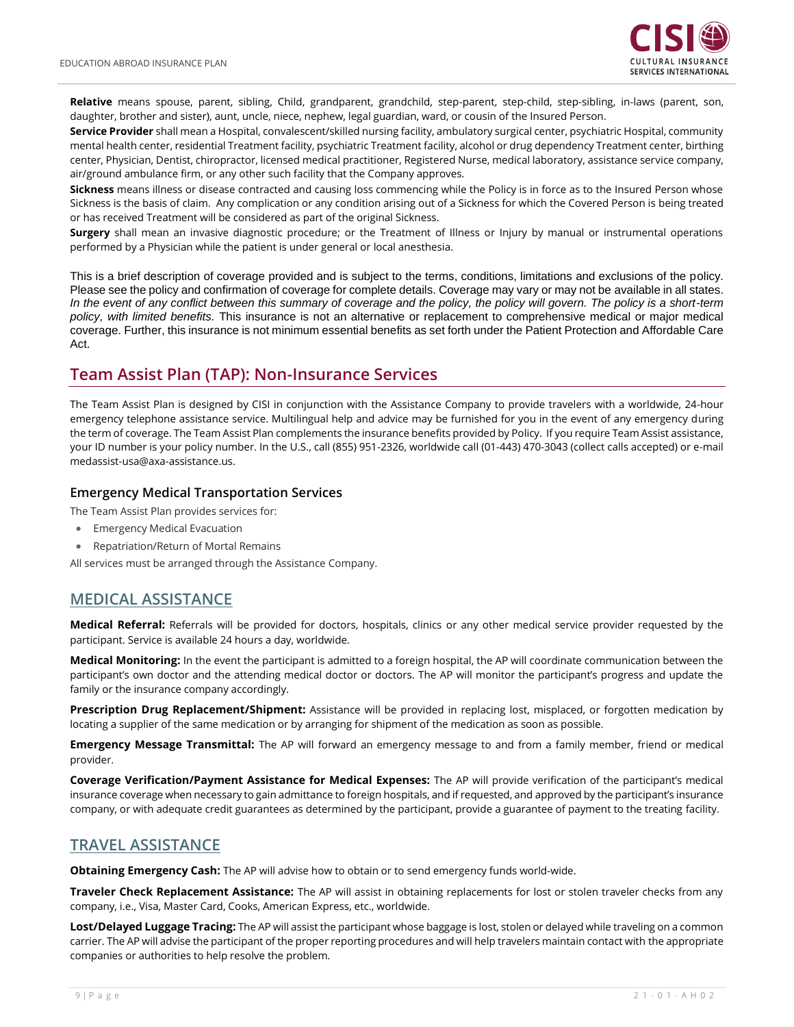

**Relative** means spouse, parent, sibling, Child, grandparent, grandchild, step-parent, step-child, step-sibling, in-laws (parent, son, daughter, brother and sister), aunt, uncle, niece, nephew, legal guardian, ward, or cousin of the Insured Person.

**Service Provider** shall mean a Hospital, convalescent/skilled nursing facility, ambulatory surgical center, psychiatric Hospital, community mental health center, residential Treatment facility, psychiatric Treatment facility, alcohol or drug dependency Treatment center, birthing center, Physician, Dentist, chiropractor, licensed medical practitioner, Registered Nurse, medical laboratory, assistance service company, air/ground ambulance firm, or any other such facility that the Company approves.

**Sickness** means illness or disease contracted and causing loss commencing while the Policy is in force as to the Insured Person whose Sickness is the basis of claim. Any complication or any condition arising out of a Sickness for which the Covered Person is being treated or has received Treatment will be considered as part of the original Sickness.

**Surgery** shall mean an invasive diagnostic procedure; or the Treatment of Illness or Injury by manual or instrumental operations performed by a Physician while the patient is under general or local anesthesia.

This is a brief description of coverage provided and is subject to the terms, conditions, limitations and exclusions of the policy. Please see the policy and confirmation of coverage for complete details. Coverage may vary or may not be available in all states. *In the event of any conflict between this summary of coverage and the policy, the policy will govern. The policy is a short-term policy, with limited benefits.* This insurance is not an alternative or replacement to comprehensive medical or major medical coverage. Further, this insurance is not minimum essential benefits as set forth under the Patient Protection and Affordable Care Act.

#### <span id="page-8-0"></span>**Team Assist Plan (TAP): Non-Insurance Services**

The Team Assist Plan is designed by CISI in conjunction with the Assistance Company to provide travelers with a worldwide, 24-hour emergency telephone assistance service. Multilingual help and advice may be furnished for you in the event of any emergency during the term of coverage. The Team Assist Plan complements the insurance benefits provided by Policy. If you require Team Assist assistance, your ID number is your policy number. In the U.S., call (855) 951-2326, worldwide call (01-443) 470-3043 (collect calls accepted) or e-mail medassist-usa@axa-assistance.us.

#### **Emergency Medical Transportation Services**

The Team Assist Plan provides services for:

- Emergency Medical Evacuation
- Repatriation/Return of Mortal Remains

All services must be arranged through the Assistance Company.

#### **MEDICAL ASSISTANCE**

**Medical Referral:** Referrals will be provided for doctors, hospitals, clinics or any other medical service provider requested by the participant. Service is available 24 hours a day, worldwide.

**Medical Monitoring:** In the event the participant is admitted to a foreign hospital, the AP will coordinate communication between the participant's own doctor and the attending medical doctor or doctors. The AP will monitor the participant's progress and update the family or the insurance company accordingly.

**Prescription Drug Replacement/Shipment:** Assistance will be provided in replacing lost, misplaced, or forgotten medication by locating a supplier of the same medication or by arranging for shipment of the medication as soon as possible.

**Emergency Message Transmittal:** The AP will forward an emergency message to and from a family member, friend or medical provider.

**Coverage Verification/Payment Assistance for Medical Expenses:** The AP will provide verification of the participant's medical insurance coverage when necessary to gain admittance to foreign hospitals, and if requested, and approved by the participant's insurance company, or with adequate credit guarantees as determined by the participant, provide a guarantee of payment to the treating facility.

#### **TRAVEL ASSISTANCE**

**Obtaining Emergency Cash:** The AP will advise how to obtain or to send emergency funds world-wide.

**Traveler Check Replacement Assistance:** The AP will assist in obtaining replacements for lost or stolen traveler checks from any company, i.e., Visa, Master Card, Cooks, American Express, etc., worldwide.

**Lost/Delayed Luggage Tracing:** The AP will assist the participant whose baggage is lost, stolen or delayed while traveling on a common carrier. The AP will advise the participant of the proper reporting procedures and will help travelers maintain contact with the appropriate companies or authorities to help resolve the problem.